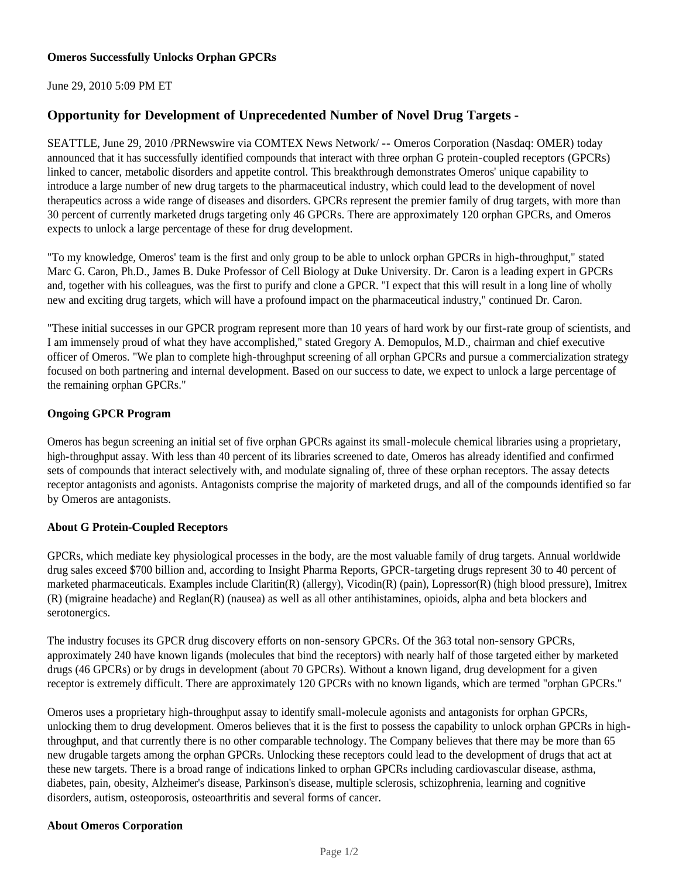June 29, 2010 5:09 PM ET

# **Opportunity for Development of Unprecedented Number of Novel Drug Targets -**

SEATTLE, June 29, 2010 /PRNewswire via COMTEX News Network/ -- Omeros Corporation (Nasdaq: OMER) today announced that it has successfully identified compounds that interact with three orphan G protein-coupled receptors (GPCRs) linked to cancer, metabolic disorders and appetite control. This breakthrough demonstrates Omeros' unique capability to introduce a large number of new drug targets to the pharmaceutical industry, which could lead to the development of novel therapeutics across a wide range of diseases and disorders. GPCRs represent the premier family of drug targets, with more than 30 percent of currently marketed drugs targeting only 46 GPCRs. There are approximately 120 orphan GPCRs, and Omeros expects to unlock a large percentage of these for drug development.

"To my knowledge, Omeros' team is the first and only group to be able to unlock orphan GPCRs in high-throughput," stated Marc G. Caron, Ph.D., James B. Duke Professor of Cell Biology at Duke University. Dr. Caron is a leading expert in GPCRs and, together with his colleagues, was the first to purify and clone a GPCR. "I expect that this will result in a long line of wholly new and exciting drug targets, which will have a profound impact on the pharmaceutical industry," continued Dr. Caron.

"These initial successes in our GPCR program represent more than 10 years of hard work by our first-rate group of scientists, and I am immensely proud of what they have accomplished," stated Gregory A. Demopulos, M.D., chairman and chief executive officer of Omeros. "We plan to complete high-throughput screening of all orphan GPCRs and pursue a commercialization strategy focused on both partnering and internal development. Based on our success to date, we expect to unlock a large percentage of the remaining orphan GPCRs."

### **Ongoing GPCR Program**

Omeros has begun screening an initial set of five orphan GPCRs against its small-molecule chemical libraries using a proprietary, high-throughput assay. With less than 40 percent of its libraries screened to date, Omeros has already identified and confirmed sets of compounds that interact selectively with, and modulate signaling of, three of these orphan receptors. The assay detects receptor antagonists and agonists. Antagonists comprise the majority of marketed drugs, and all of the compounds identified so far by Omeros are antagonists.

### **About G Protein-Coupled Receptors**

GPCRs, which mediate key physiological processes in the body, are the most valuable family of drug targets. Annual worldwide drug sales exceed \$700 billion and, according to Insight Pharma Reports, GPCR-targeting drugs represent 30 to 40 percent of marketed pharmaceuticals. Examples include Claritin(R) (allergy), Vicodin(R) (pain), Lopressor(R) (high blood pressure), Imitrex (R) (migraine headache) and Reglan(R) (nausea) as well as all other antihistamines, opioids, alpha and beta blockers and serotonergics.

The industry focuses its GPCR drug discovery efforts on non-sensory GPCRs. Of the 363 total non-sensory GPCRs, approximately 240 have known ligands (molecules that bind the receptors) with nearly half of those targeted either by marketed drugs (46 GPCRs) or by drugs in development (about 70 GPCRs). Without a known ligand, drug development for a given receptor is extremely difficult. There are approximately 120 GPCRs with no known ligands, which are termed "orphan GPCRs."

Omeros uses a proprietary high-throughput assay to identify small-molecule agonists and antagonists for orphan GPCRs, unlocking them to drug development. Omeros believes that it is the first to possess the capability to unlock orphan GPCRs in highthroughput, and that currently there is no other comparable technology. The Company believes that there may be more than 65 new drugable targets among the orphan GPCRs. Unlocking these receptors could lead to the development of drugs that act at these new targets. There is a broad range of indications linked to orphan GPCRs including cardiovascular disease, asthma, diabetes, pain, obesity, Alzheimer's disease, Parkinson's disease, multiple sclerosis, schizophrenia, learning and cognitive disorders, autism, osteoporosis, osteoarthritis and several forms of cancer.

### **About Omeros Corporation**